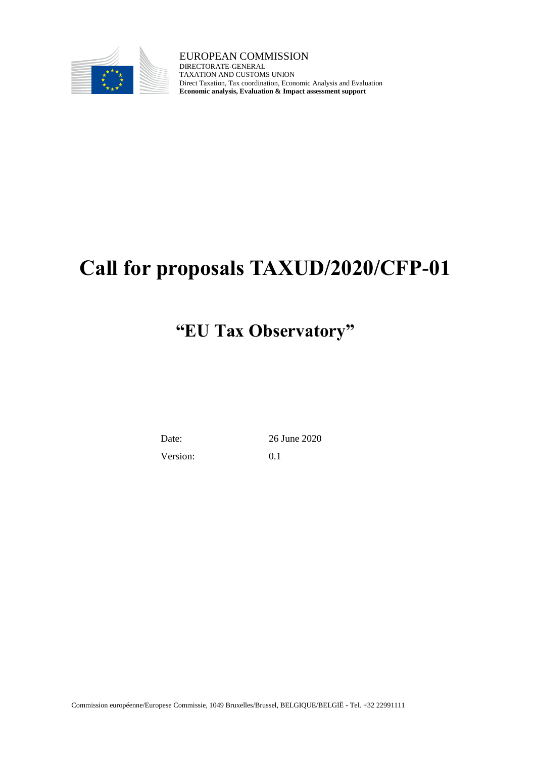

EUROPEAN COMMISSION DIRECTORATE-GENERAL TAXATION AND CUSTOMS UNION Direct Taxation, Tax coordination, Economic Analysis and Evaluation **Economic analysis, Evaluation & Impact assessment support**

# **Call for proposals TAXUD/2020/CFP-01**

# **"EU Tax Observatory"**

Date: 26 June 2020

Version: 0.1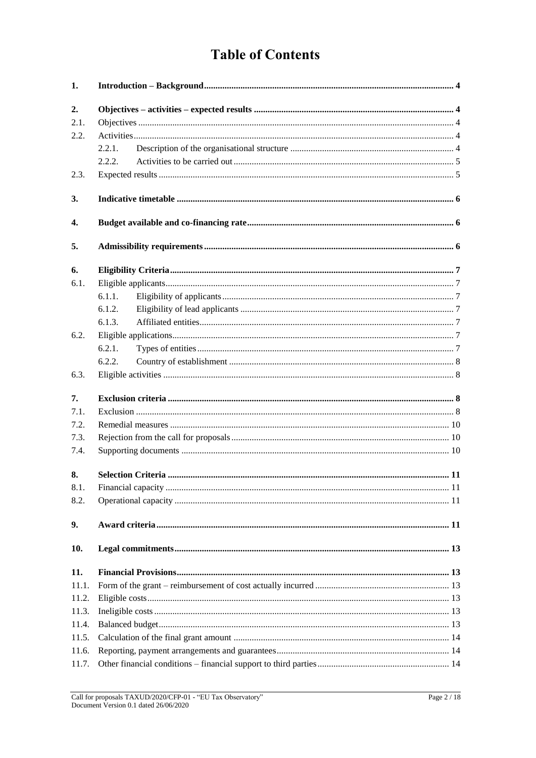# **Table of Contents**

| 1.    |        |  |
|-------|--------|--|
| 2.    |        |  |
| 2.1.  |        |  |
| 2.2.  |        |  |
|       | 2.2.1. |  |
|       | 2.2.2. |  |
| 2.3.  |        |  |
| 3.    |        |  |
| 4.    |        |  |
| 5.    |        |  |
| 6.    |        |  |
| 6.1.  |        |  |
|       | 6.1.1. |  |
|       | 6.1.2. |  |
|       | 6.1.3. |  |
| 6.2.  |        |  |
|       | 6.2.1. |  |
|       | 6.2.2. |  |
| 6.3.  |        |  |
| 7.    |        |  |
| 7.1.  |        |  |
| 7.2.  |        |  |
| 7.3.  |        |  |
| 7.4.  |        |  |
| 8.    |        |  |
| 8.1.  |        |  |
| 8.2.  |        |  |
| 9.    |        |  |
| 10.   |        |  |
| 11.   |        |  |
| 11.1. |        |  |
| 11.2. |        |  |
| 11.3. |        |  |
| 11.4. |        |  |
| 11.5. |        |  |
| 11.6. |        |  |
| 11.7. |        |  |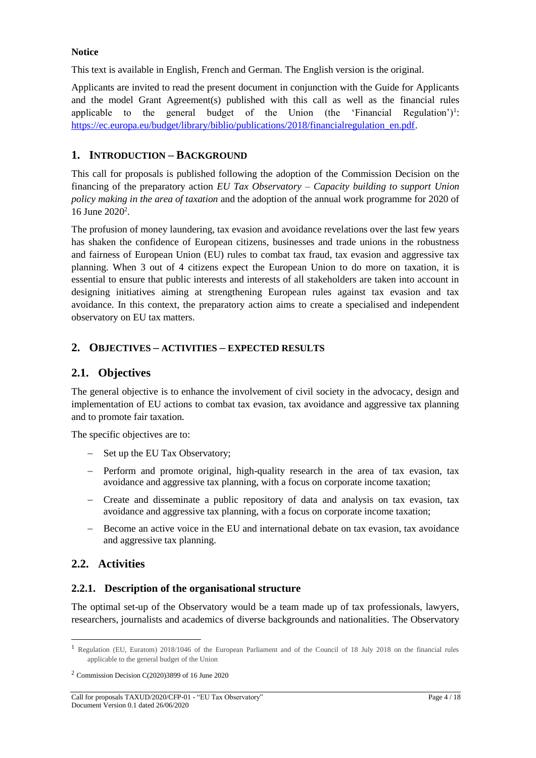#### **Notice**

This text is available in English, French and German. The English version is the original.

Applicants are invited to read the present document in conjunction with the Guide for Applicants and the model Grant Agreement(s) published with this call as well as the financial rules applicable to the general budget of the Union (the 'Financial Regulation')<sup>1</sup>: [https://ec.europa.eu/budget/library/biblio/publications/2018/financialregulation\\_en.pdf.](https://ec.europa.eu/budget/library/biblio/publications/2018/financialregulation_en.pdf)

## <span id="page-3-0"></span>**1. INTRODUCTION – BACKGROUND**

This call for proposals is published following the adoption of the Commission Decision on the financing of the preparatory action *EU Tax Observatory – Capacity building to support Union policy making in the area of taxation* and the adoption of the annual work programme for 2020 of 16 June 2020<sup>2</sup>.

The profusion of money laundering, tax evasion and avoidance revelations over the last few years has shaken the confidence of European citizens, businesses and trade unions in the robustness and fairness of European Union (EU) rules to combat tax fraud, tax evasion and aggressive tax planning. When 3 out of 4 citizens expect the European Union to do more on taxation, it is essential to ensure that public interests and interests of all stakeholders are taken into account in designing initiatives aiming at strengthening European rules against tax evasion and tax avoidance. In this context, the preparatory action aims to create a specialised and independent observatory on EU tax matters.

# <span id="page-3-1"></span>**2. OBJECTIVES – ACTIVITIES – EXPECTED RESULTS**

# <span id="page-3-2"></span>**2.1. Objectives**

The general objective is to enhance the involvement of civil society in the advocacy, design and implementation of EU actions to combat tax evasion, tax avoidance and aggressive tax planning and to promote fair taxation.

The specific objectives are to:

- Set up the EU Tax Observatory;
- Perform and promote original, high-quality research in the area of tax evasion, tax avoidance and aggressive tax planning, with a focus on corporate income taxation;
- Create and disseminate a public repository of data and analysis on tax evasion, tax avoidance and aggressive tax planning, with a focus on corporate income taxation;
- Become an active voice in the EU and international debate on tax evasion, tax avoidance and aggressive tax planning.

# <span id="page-3-3"></span>**2.2. Activities**

l

## <span id="page-3-4"></span>**2.2.1. Description of the organisational structure**

The optimal set-up of the Observatory would be a team made up of tax professionals, lawyers, researchers, journalists and academics of diverse backgrounds and nationalities. The Observatory

<sup>1</sup> Regulation (EU, Euratom) 2018/1046 of the European Parliament and of the Council of 18 July 2018 on the financial rules applicable to the general budget of the Union

 $2$  Commission Decision C(2020)3899 of 16 June 2020

Call for proposals TAXUD/2020/CFP-01 - "EU Tax Observatory" Page 4 / 18 Document Version 0.1 dated 26/06/2020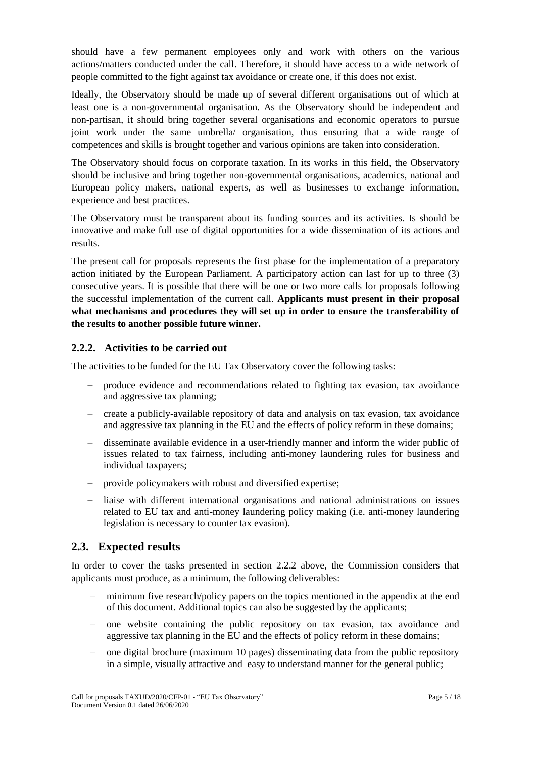should have a few permanent employees only and work with others on the various actions/matters conducted under the call. Therefore, it should have access to a wide network of people committed to the fight against tax avoidance or create one, if this does not exist.

Ideally, the Observatory should be made up of several different organisations out of which at least one is a non-governmental organisation. As the Observatory should be independent and non-partisan, it should bring together several organisations and economic operators to pursue joint work under the same umbrella/ organisation, thus ensuring that a wide range of competences and skills is brought together and various opinions are taken into consideration.

The Observatory should focus on corporate taxation. In its works in this field, the Observatory should be inclusive and bring together non-governmental organisations, academics, national and European policy makers, national experts, as well as businesses to exchange information, experience and best practices.

The Observatory must be transparent about its funding sources and its activities. Is should be innovative and make full use of digital opportunities for a wide dissemination of its actions and results.

The present call for proposals represents the first phase for the implementation of a preparatory action initiated by the European Parliament. A participatory action can last for up to three (3) consecutive years. It is possible that there will be one or two more calls for proposals following the successful implementation of the current call. **Applicants must present in their proposal what mechanisms and procedures they will set up in order to ensure the transferability of the results to another possible future winner.**

# <span id="page-4-0"></span>**2.2.2. Activities to be carried out**

The activities to be funded for the EU Tax Observatory cover the following tasks:

- produce evidence and recommendations related to fighting tax evasion, tax avoidance and aggressive tax planning;
- create a publicly-available repository of data and analysis on tax evasion, tax avoidance and aggressive tax planning in the EU and the effects of policy reform in these domains;
- disseminate available evidence in a user-friendly manner and inform the wider public of issues related to tax fairness, including anti-money laundering rules for business and individual taxpayers;
- provide policymakers with robust and diversified expertise;
- liaise with different international organisations and national administrations on issues related to EU tax and anti-money laundering policy making (i.e. anti-money laundering legislation is necessary to counter tax evasion).

# <span id="page-4-1"></span>**2.3. Expected results**

In order to cover the tasks presented in section 2.2.2 above, the Commission considers that applicants must produce, as a minimum, the following deliverables:

- minimum five research/policy papers on the topics mentioned in the appendix at the end of this document. Additional topics can also be suggested by the applicants;
- one website containing the public repository on tax evasion, tax avoidance and aggressive tax planning in the EU and the effects of policy reform in these domains;
- one digital brochure (maximum 10 pages) disseminating data from the public repository in a simple, visually attractive and easy to understand manner for the general public;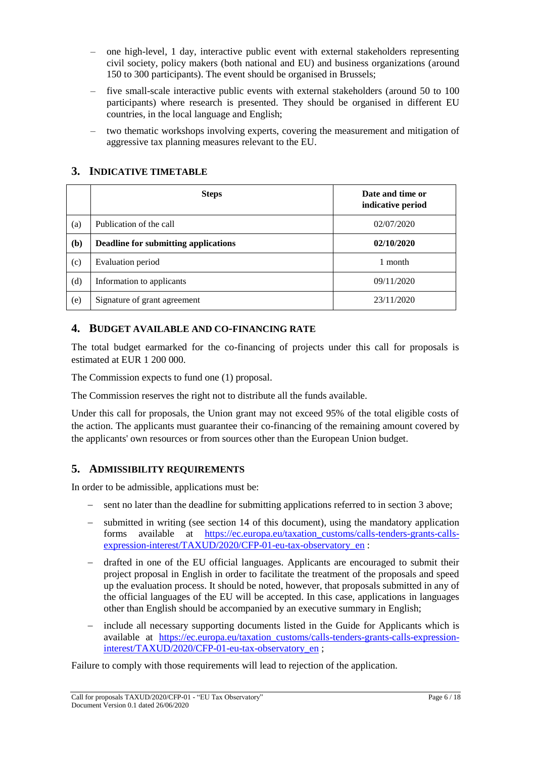- one high-level, 1 day, interactive public event with external stakeholders representing civil society, policy makers (both national and EU) and business organizations (around 150 to 300 participants). The event should be organised in Brussels;
- five small-scale interactive public events with external stakeholders (around 50 to 100 participants) where research is presented. They should be organised in different EU countries, in the local language and English;
- two thematic workshops involving experts, covering the measurement and mitigation of aggressive tax planning measures relevant to the EU.

# <span id="page-5-0"></span>**3. INDICATIVE TIMETABLE**

|     | <b>Steps</b>                         | Date and time or<br>indicative period |
|-----|--------------------------------------|---------------------------------------|
| (a) | Publication of the call              | 02/07/2020                            |
| (b) | Deadline for submitting applications | 02/10/2020                            |
| (c) | Evaluation period                    | 1 month                               |
| (d) | Information to applicants            | 09/11/2020                            |
| (e) | Signature of grant agreement         | 23/11/2020                            |

## <span id="page-5-1"></span>**4. BUDGET AVAILABLE AND CO-FINANCING RATE**

The total budget earmarked for the co-financing of projects under this call for proposals is estimated at EUR 1 200 000.

The Commission expects to fund one (1) proposal.

The Commission reserves the right not to distribute all the funds available.

Under this call for proposals, the Union grant may not exceed 95% of the total eligible costs of the action. The applicants must guarantee their co-financing of the remaining amount covered by the applicants' own resources or from sources other than the European Union budget.

# <span id="page-5-2"></span>**5. ADMISSIBILITY REQUIREMENTS**

In order to be admissible, applications must be:

- sent no later than the deadline for submitting applications referred to in section 3 above;
- submitted in writing (see section 14 of this document), using the mandatory application forms available at [https://ec.europa.eu/taxation\\_customs/calls-tenders-grants-calls](https://ec.europa.eu/taxation_customs/calls-tenders-grants-calls-expression-interest/TAXUD/2020/CFP-01-eu-tax-observatory_en)[expression-interest/TAXUD/2020/CFP-01-eu-tax-observatory\\_en](https://ec.europa.eu/taxation_customs/calls-tenders-grants-calls-expression-interest/TAXUD/2020/CFP-01-eu-tax-observatory_en) :
- drafted in one of the EU official languages. Applicants are encouraged to submit their project proposal in English in order to facilitate the treatment of the proposals and speed up the evaluation process. It should be noted, however, that proposals submitted in any of the official languages of the EU will be accepted. In this case, applications in languages other than English should be accompanied by an executive summary in English;
- include all necessary supporting documents listed in the Guide for Applicants which is available at [https://ec.europa.eu/taxation\\_customs/calls-tenders-grants-calls-expression](https://ec.europa.eu/taxation_customs/calls-tenders-grants-calls-expression-interest/TAXUD/2020/CFP-01-eu-tax-observatory_en)[interest/TAXUD/2020/CFP-01-eu-tax-observatory\\_en](https://ec.europa.eu/taxation_customs/calls-tenders-grants-calls-expression-interest/TAXUD/2020/CFP-01-eu-tax-observatory_en) ;

Failure to comply with those requirements will lead to rejection of the application.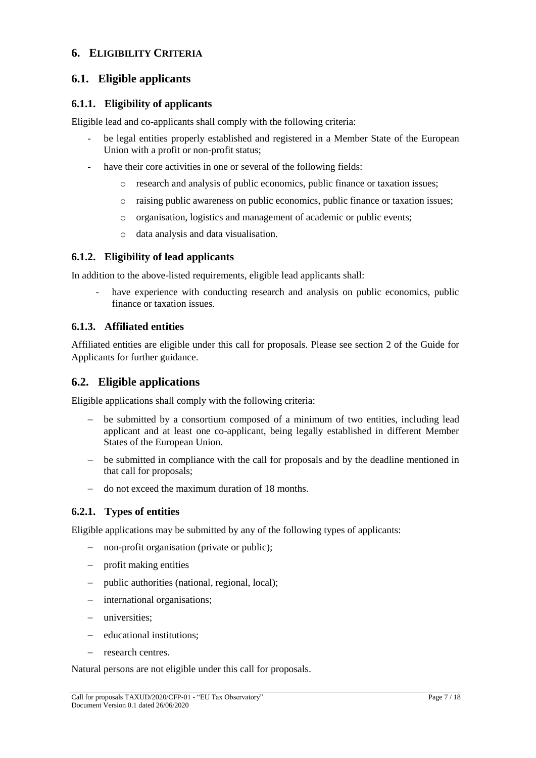## <span id="page-6-0"></span>**6. ELIGIBILITY CRITERIA**

# <span id="page-6-1"></span>**6.1. Eligible applicants**

## <span id="page-6-2"></span>**6.1.1. Eligibility of applicants**

Eligible lead and co-applicants shall comply with the following criteria:

- be legal entities properly established and registered in a Member State of the European Union with a profit or non-profit status;
- have their core activities in one or several of the following fields:
	- o research and analysis of public economics, public finance or taxation issues;
	- o raising public awareness on public economics, public finance or taxation issues;
	- o organisation, logistics and management of academic or public events;
	- o data analysis and data visualisation.

#### <span id="page-6-3"></span>**6.1.2. Eligibility of lead applicants**

In addition to the above-listed requirements, eligible lead applicants shall:

have experience with conducting research and analysis on public economics, public finance or taxation issues.

#### <span id="page-6-4"></span>**6.1.3. Affiliated entities**

Affiliated entities are eligible under this call for proposals. Please see section 2 of the Guide for Applicants for further guidance.

### <span id="page-6-5"></span>**6.2. Eligible applications**

Eligible applications shall comply with the following criteria:

- be submitted by a consortium composed of a minimum of two entities, including lead applicant and at least one co-applicant, being legally established in different Member States of the European Union.
- be submitted in compliance with the call for proposals and by the deadline mentioned in that call for proposals;
- do not exceed the maximum duration of 18 months.

## <span id="page-6-6"></span>**6.2.1. Types of entities**

Eligible applications may be submitted by any of the following types of applicants:

- non-profit organisation (private or public);
- profit making entities
- public authorities (national, regional, local);
- international organisations;
- universities;
- educational institutions;
- research centres.

Natural persons are not eligible under this call for proposals.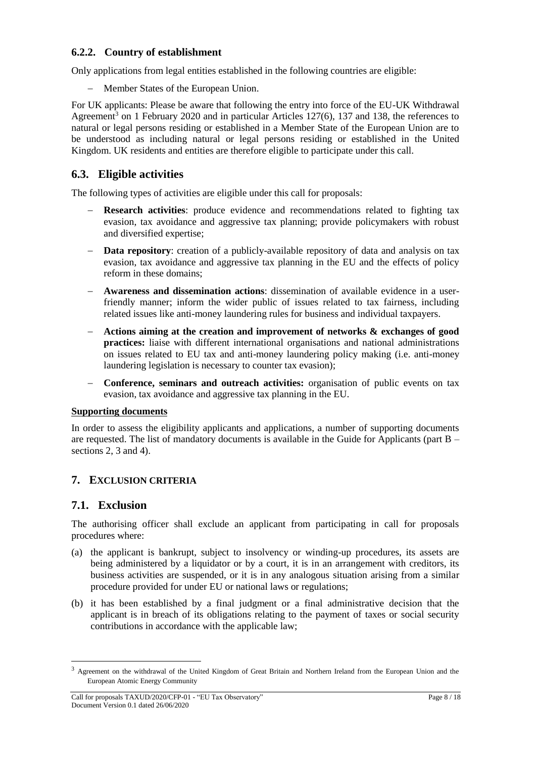# <span id="page-7-0"></span>**6.2.2. Country of establishment**

Only applications from legal entities established in the following countries are eligible:

Member States of the European Union.

For UK applicants: Please be aware that following the entry into force of the EU-UK Withdrawal Agreement<sup>3</sup> on 1 February 2020 and in particular Articles  $127(6)$ , 137 and 138, the references to natural or legal persons residing or established in a Member State of the European Union are to be understood as including natural or legal persons residing or established in the United Kingdom. UK residents and entities are therefore eligible to participate under this call.

## <span id="page-7-1"></span>**6.3. Eligible activities**

The following types of activities are eligible under this call for proposals:

- **Research activities**: produce evidence and recommendations related to fighting tax evasion, tax avoidance and aggressive tax planning; provide policymakers with robust and diversified expertise;
- **Data repository**: creation of a publicly-available repository of data and analysis on tax evasion, tax avoidance and aggressive tax planning in the EU and the effects of policy reform in these domains;
- **Awareness and dissemination actions**: dissemination of available evidence in a userfriendly manner; inform the wider public of issues related to tax fairness, including related issues like anti-money laundering rules for business and individual taxpayers.
- **Actions aiming at the creation and improvement of networks & exchanges of good practices:** liaise with different international organisations and national administrations on issues related to EU tax and anti-money laundering policy making (i.e. anti-money laundering legislation is necessary to counter tax evasion);
- **Conference, seminars and outreach activities:** organisation of public events on tax evasion, tax avoidance and aggressive tax planning in the EU.

#### **Supporting documents**

In order to assess the eligibility applicants and applications, a number of supporting documents are requested. The list of mandatory documents is available in the Guide for Applicants (part  $B$ sections 2, 3 and 4).

# <span id="page-7-2"></span>**7. EXCLUSION CRITERIA**

## <span id="page-7-3"></span>**7.1. Exclusion**

l

The authorising officer shall exclude an applicant from participating in call for proposals procedures where:

- (a) the applicant is bankrupt, subject to insolvency or winding-up procedures, its assets are being administered by a liquidator or by a court, it is in an arrangement with creditors, its business activities are suspended, or it is in any analogous situation arising from a similar procedure provided for under EU or national laws or regulations;
- (b) it has been established by a final judgment or a final administrative decision that the applicant is in breach of its obligations relating to the payment of taxes or social security contributions in accordance with the applicable law;

<sup>&</sup>lt;sup>3</sup> Agreement on the withdrawal of the United Kingdom of Great Britain and Northern Ireland from the European Union and the European Atomic Energy Community

Call for proposals TAXUD/2020/CFP-01 - "EU Tax Observatory" Page 8 / 18 Document Version 0.1 dated 26/06/2020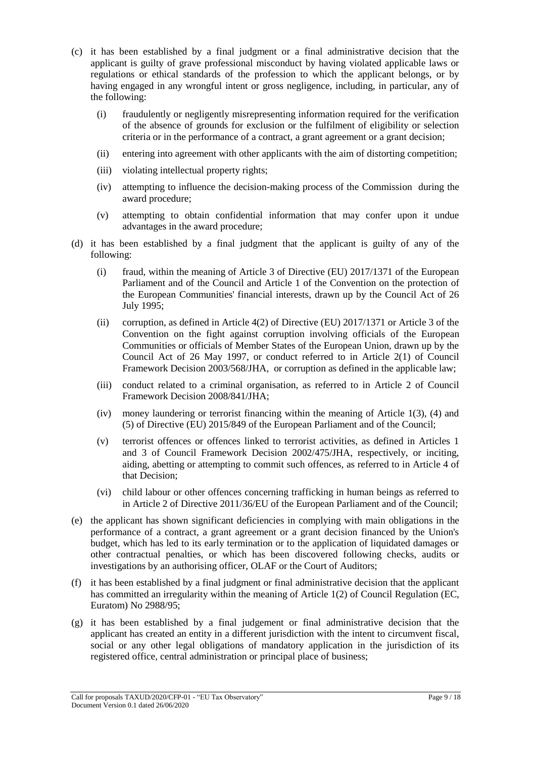- (c) it has been established by a final judgment or a final administrative decision that the applicant is guilty of grave professional misconduct by having violated applicable laws or regulations or ethical standards of the profession to which the applicant belongs, or by having engaged in any wrongful intent or gross negligence, including, in particular, any of the following:
	- (i) fraudulently or negligently misrepresenting information required for the verification of the absence of grounds for exclusion or the fulfilment of eligibility or selection criteria or in the performance of a contract, a grant agreement or a grant decision;
	- (ii) entering into agreement with other applicants with the aim of distorting competition;
	- (iii) violating intellectual property rights;
	- (iv) attempting to influence the decision-making process of the Commission during the award procedure;
	- (v) attempting to obtain confidential information that may confer upon it undue advantages in the award procedure;
- (d) it has been established by a final judgment that the applicant is guilty of any of the following:
	- (i) fraud, within the meaning of Article 3 of Directive (EU) 2017/1371 of the European Parliament and of the Council and Article 1 of the Convention on the protection of the European Communities' financial interests, drawn up by the Council Act of 26 July 1995;
	- (ii) corruption, as defined in Article  $4(2)$  of Directive (EU) 2017/1371 or Article 3 of the Convention on the fight against corruption involving officials of the European Communities or officials of Member States of the European Union, drawn up by the Council Act of 26 May 1997, or conduct referred to in Article 2(1) of Council Framework Decision 2003/568/JHA, or corruption as defined in the applicable law;
	- (iii) conduct related to a criminal organisation, as referred to in Article 2 of Council Framework Decision 2008/841/JHA;
	- (iv) money laundering or terrorist financing within the meaning of Article 1(3), (4) and (5) of Directive (EU) 2015/849 of the European Parliament and of the Council;
	- (v) terrorist offences or offences linked to terrorist activities, as defined in Articles 1 and 3 of Council Framework Decision 2002/475/JHA, respectively, or inciting, aiding, abetting or attempting to commit such offences, as referred to in Article 4 of that Decision;
	- (vi) child labour or other offences concerning trafficking in human beings as referred to in Article 2 of Directive 2011/36/EU of the European Parliament and of the Council;
- (e) the applicant has shown significant deficiencies in complying with main obligations in the performance of a contract, a grant agreement or a grant decision financed by the Union's budget, which has led to its early termination or to the application of liquidated damages or other contractual penalties, or which has been discovered following checks, audits or investigations by an authorising officer, OLAF or the Court of Auditors;
- (f) it has been established by a final judgment or final administrative decision that the applicant has committed an irregularity within the meaning of Article 1(2) of Council Regulation (EC, Euratom) No 2988/95;
- (g) it has been established by a final judgement or final administrative decision that the applicant has created an entity in a different jurisdiction with the intent to circumvent fiscal, social or any other legal obligations of mandatory application in the jurisdiction of its registered office, central administration or principal place of business;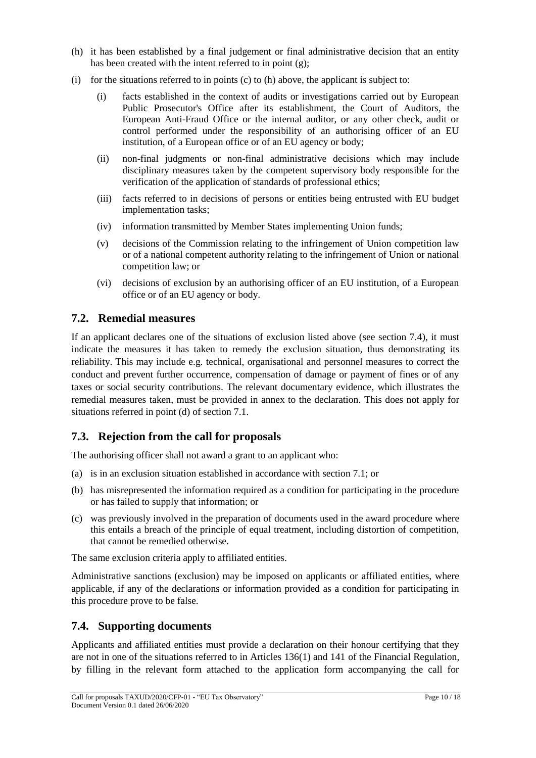- (h) it has been established by a final judgement or final administrative decision that an entity has been created with the intent referred to in point (g);
- (i) for the situations referred to in points  $(c)$  to  $(h)$  above, the applicant is subject to:
	- (i) facts established in the context of audits or investigations carried out by European Public Prosecutor's Office after its establishment, the Court of Auditors, the European Anti-Fraud Office or the internal auditor, or any other check, audit or control performed under the responsibility of an authorising officer of an EU institution, of a European office or of an EU agency or body;
	- (ii) non-final judgments or non-final administrative decisions which may include disciplinary measures taken by the competent supervisory body responsible for the verification of the application of standards of professional ethics;
	- (iii) facts referred to in decisions of persons or entities being entrusted with EU budget implementation tasks;
	- (iv) information transmitted by Member States implementing Union funds;
	- (v) decisions of the Commission relating to the infringement of Union competition law or of a national competent authority relating to the infringement of Union or national competition law; or
	- (vi) decisions of exclusion by an authorising officer of an EU institution, of a European office or of an EU agency or body.

# <span id="page-9-0"></span>**7.2. Remedial measures**

If an applicant declares one of the situations of exclusion listed above (see section 7.4), it must indicate the measures it has taken to remedy the exclusion situation, thus demonstrating its reliability. This may include e.g. technical, organisational and personnel measures to correct the conduct and prevent further occurrence, compensation of damage or payment of fines or of any taxes or social security contributions. The relevant documentary evidence, which illustrates the remedial measures taken, must be provided in annex to the declaration. This does not apply for situations referred in point (d) of section 7.1.

# <span id="page-9-1"></span>**7.3. Rejection from the call for proposals**

The authorising officer shall not award a grant to an applicant who:

- (a) is in an exclusion situation established in accordance with section 7.1; or
- (b) has misrepresented the information required as a condition for participating in the procedure or has failed to supply that information; or
- (c) was previously involved in the preparation of documents used in the award procedure where this entails a breach of the principle of equal treatment, including distortion of competition, that cannot be remedied otherwise.

The same exclusion criteria apply to affiliated entities.

Administrative sanctions (exclusion) may be imposed on applicants or affiliated entities, where applicable, if any of the declarations or information provided as a condition for participating in this procedure prove to be false.

# <span id="page-9-2"></span>**7.4. Supporting documents**

Applicants and affiliated entities must provide a declaration on their honour certifying that they are not in one of the situations referred to in Articles 136(1) and 141 of the Financial Regulation, by filling in the relevant form attached to the application form accompanying the call for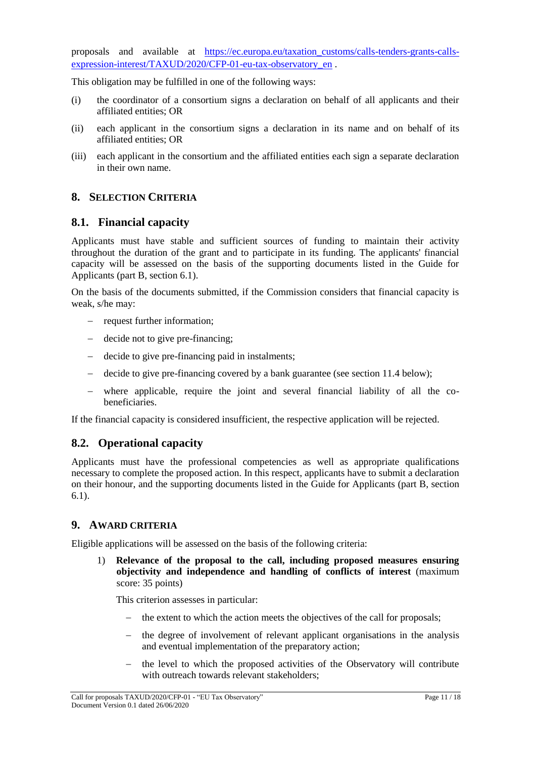proposals and available at [https://ec.europa.eu/taxation\\_customs/calls-tenders-grants-calls](https://ec.europa.eu/taxation_customs/calls-tenders-grants-calls-expression-interest/TAXUD/2020/CFP-01-eu-tax-observatory_en)[expression-interest/TAXUD/2020/CFP-01-eu-tax-observatory\\_en](https://ec.europa.eu/taxation_customs/calls-tenders-grants-calls-expression-interest/TAXUD/2020/CFP-01-eu-tax-observatory_en) .

This obligation may be fulfilled in one of the following ways:

- (i) the coordinator of a consortium signs a declaration on behalf of all applicants and their affiliated entities; OR
- (ii) each applicant in the consortium signs a declaration in its name and on behalf of its affiliated entities; OR
- (iii) each applicant in the consortium and the affiliated entities each sign a separate declaration in their own name.

# <span id="page-10-0"></span>**8. SELECTION CRITERIA**

## <span id="page-10-1"></span>**8.1. Financial capacity**

Applicants must have stable and sufficient sources of funding to maintain their activity throughout the duration of the grant and to participate in its funding. The applicants' financial capacity will be assessed on the basis of the supporting documents listed in the Guide for Applicants (part B, section 6.1).

On the basis of the documents submitted, if the Commission considers that financial capacity is weak, s/he may:

- request further information;
- decide not to give pre-financing;
- decide to give pre-financing paid in instalments;
- decide to give pre-financing covered by a bank guarantee (see section 11.4 below);
- where applicable, require the joint and several financial liability of all the co**beneficiaries**

If the financial capacity is considered insufficient, the respective application will be rejected.

## <span id="page-10-2"></span>**8.2. Operational capacity**

Applicants must have the professional competencies as well as appropriate qualifications necessary to complete the proposed action. In this respect, applicants have to submit a declaration on their honour, and the supporting documents listed in the Guide for Applicants (part B, section 6.1).

## <span id="page-10-3"></span>**9. AWARD CRITERIA**

Eligible applications will be assessed on the basis of the following criteria:

1) **Relevance of the proposal to the call, including proposed measures ensuring objectivity and independence and handling of conflicts of interest** (maximum score: 35 points)

This criterion assesses in particular:

- the extent to which the action meets the objectives of the call for proposals;
- the degree of involvement of relevant applicant organisations in the analysis and eventual implementation of the preparatory action;
- the level to which the proposed activities of the Observatory will contribute with outreach towards relevant stakeholders;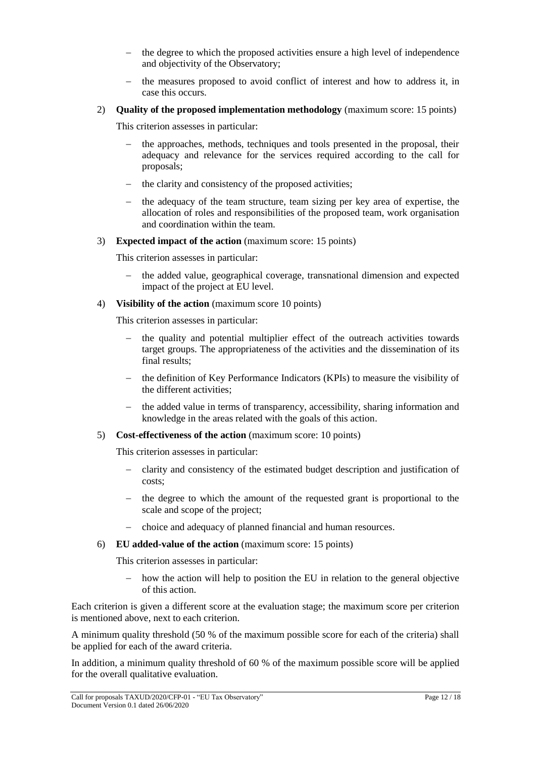- the degree to which the proposed activities ensure a high level of independence and objectivity of the Observatory;
- the measures proposed to avoid conflict of interest and how to address it, in case this occurs.
- 2) **Quality of the proposed implementation methodology** (maximum score: 15 points)

This criterion assesses in particular:

- the approaches, methods, techniques and tools presented in the proposal, their adequacy and relevance for the services required according to the call for proposals;
- $\theta$  the clarity and consistency of the proposed activities;
- $\theta$  the adequacy of the team structure, team sizing per key area of expertise, the allocation of roles and responsibilities of the proposed team, work organisation and coordination within the team.
- 3) **Expected impact of the action** (maximum score: 15 points)

This criterion assesses in particular:

- the added value, geographical coverage, transnational dimension and expected impact of the project at EU level.
- 4) **Visibility of the action** (maximum score 10 points)

This criterion assesses in particular:

- the quality and potential multiplier effect of the outreach activities towards target groups. The appropriateness of the activities and the dissemination of its final results;
- the definition of Key Performance Indicators (KPIs) to measure the visibility of the different activities;
- the added value in terms of transparency, accessibility, sharing information and knowledge in the areas related with the goals of this action.
- 5) **Cost-effectiveness of the action** (maximum score: 10 points)

This criterion assesses in particular:

- clarity and consistency of the estimated budget description and justification of costs;
- $\epsilon$  the degree to which the amount of the requested grant is proportional to the scale and scope of the project;
- choice and adequacy of planned financial and human resources.
- 6) **EU added-value of the action** (maximum score: 15 points)

This criterion assesses in particular:

 $h$  how the action will help to position the EU in relation to the general objective of this action.

Each criterion is given a different score at the evaluation stage; the maximum score per criterion is mentioned above, next to each criterion.

A minimum quality threshold (50 % of the maximum possible score for each of the criteria) shall be applied for each of the award criteria.

In addition, a minimum quality threshold of 60 % of the maximum possible score will be applied for the overall qualitative evaluation.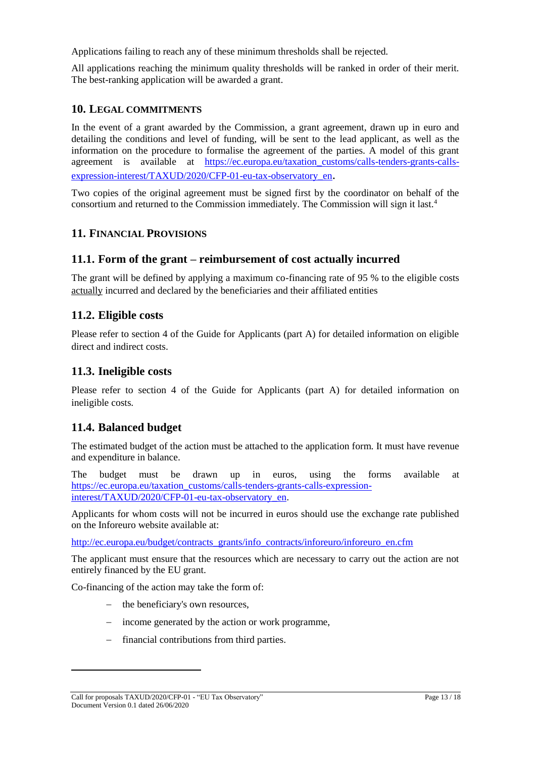Applications failing to reach any of these minimum thresholds shall be rejected.

All applications reaching the minimum quality thresholds will be ranked in order of their merit. The best-ranking application will be awarded a grant.

# <span id="page-12-0"></span>**10. LEGAL COMMITMENTS**

In the event of a grant awarded by the Commission, a grant agreement, drawn up in euro and detailing the conditions and level of funding, will be sent to the lead applicant, as well as the information on the procedure to formalise the agreement of the parties. A model of this grant agreement is available at [https://ec.europa.eu/taxation\\_customs/calls-tenders-grants-calls](https://ec.europa.eu/taxation_customs/calls-tenders-grants-calls-expression-interest/TAXUD/2020/CFP-01-eu-tax-observatory_en)[expression-interest/TAXUD/2020/CFP-01-eu-tax-observatory\\_en](https://ec.europa.eu/taxation_customs/calls-tenders-grants-calls-expression-interest/TAXUD/2020/CFP-01-eu-tax-observatory_en).

Two copies of the original agreement must be signed first by the coordinator on behalf of the consortium and returned to the Commission immediately. The Commission will sign it last.<sup>4</sup>

# <span id="page-12-1"></span>**11. FINANCIAL PROVISIONS**

# <span id="page-12-2"></span>**11.1. Form of the grant – reimbursement of cost actually incurred**

The grant will be defined by applying a maximum co-financing rate of 95 % to the eligible costs actually incurred and declared by the beneficiaries and their affiliated entities

# <span id="page-12-3"></span>**11.2. Eligible costs**

Please refer to section 4 of the Guide for Applicants (part A) for detailed information on eligible direct and indirect costs.

# <span id="page-12-4"></span>**11.3. Ineligible costs**

Please refer to section 4 of the Guide for Applicants (part A) for detailed information on ineligible costs.

# <span id="page-12-5"></span>**11.4. Balanced budget**

The estimated budget of the action must be attached to the application form. It must have revenue and expenditure in balance.

The budget must be drawn up in euros, using the forms available at [https://ec.europa.eu/taxation\\_customs/calls-tenders-grants-calls-expression](https://ec.europa.eu/taxation_customs/calls-tenders-grants-calls-expression-interest/TAXUD/2020/CFP-01-eu-tax-observatory_en)[interest/TAXUD/2020/CFP-01-eu-tax-observatory\\_en.](https://ec.europa.eu/taxation_customs/calls-tenders-grants-calls-expression-interest/TAXUD/2020/CFP-01-eu-tax-observatory_en)

Applicants for whom costs will not be incurred in euros should use the exchange rate published on the Inforeuro website available at:

[http://ec.europa.eu/budget/contracts\\_grants/info\\_contracts/inforeuro/inforeuro\\_en.cfm](http://ec.europa.eu/budget/contracts_grants/info_contracts/inforeuro/inforeuro_en.cfm)

The applicant must ensure that the resources which are necessary to carry out the action are not entirely financed by the EU grant.

Co-financing of the action may take the form of:

- the beneficiary's own resources,
- income generated by the action or work programme,
- financial contributions from third parties.

l

Call for proposals TAXUD/2020/CFP-01 - "EU Tax Observatory" Page 13 / 18 Document Version 0.1 dated 26/06/2020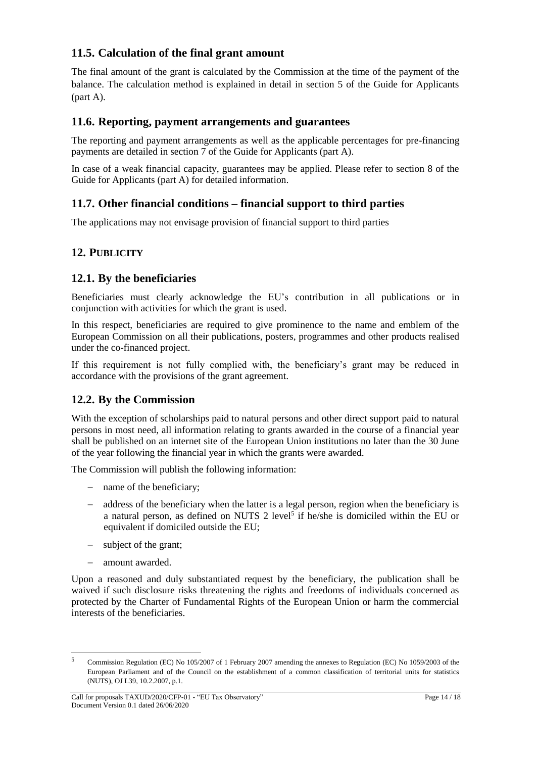# <span id="page-13-0"></span>**11.5. Calculation of the final grant amount**

The final amount of the grant is calculated by the Commission at the time of the payment of the balance. The calculation method is explained in detail in section 5 of the Guide for Applicants (part A).

## <span id="page-13-1"></span>**11.6. Reporting, payment arrangements and guarantees**

The reporting and payment arrangements as well as the applicable percentages for pre-financing payments are detailed in section 7 of the Guide for Applicants (part A).

In case of a weak financial capacity, guarantees may be applied. Please refer to section 8 of the Guide for Applicants (part A) for detailed information.

# <span id="page-13-2"></span>**11.7. Other financial conditions – financial support to third parties**

The applications may not envisage provision of financial support to third parties

# <span id="page-13-3"></span>**12. PUBLICITY**

# <span id="page-13-4"></span>**12.1. By the beneficiaries**

Beneficiaries must clearly acknowledge the EU's contribution in all publications or in conjunction with activities for which the grant is used.

In this respect, beneficiaries are required to give prominence to the name and emblem of the European Commission on all their publications, posters, programmes and other products realised under the co-financed project.

If this requirement is not fully complied with, the beneficiary's grant may be reduced in accordance with the provisions of the grant agreement.

# <span id="page-13-5"></span>**12.2. By the Commission**

With the exception of scholarships paid to natural persons and other direct support paid to natural persons in most need, all information relating to grants awarded in the course of a financial year shall be published on an internet site of the European Union institutions no later than the 30 June of the year following the financial year in which the grants were awarded.

The Commission will publish the following information:

- name of the beneficiary;
- address of the beneficiary when the latter is a legal person, region when the beneficiary is a natural person, as defined on NUTS 2 level<sup>5</sup> if he/she is domiciled within the EU or equivalent if domiciled outside the EU;
- subject of the grant;
- amount awarded.

 $\overline{a}$ 

Upon a reasoned and duly substantiated request by the beneficiary, the publication shall be waived if such disclosure risks threatening the rights and freedoms of individuals concerned as protected by the Charter of Fundamental Rights of the European Union or harm the commercial interests of the beneficiaries.

<sup>5</sup> Commission Regulation (EC) No 105/2007 of 1 February 2007 amending the annexes to Regulation (EC) No 1059/2003 of the European Parliament and of the Council on the establishment of a common classification of territorial units for statistics (NUTS), OJ L39, 10.2.2007, p.1.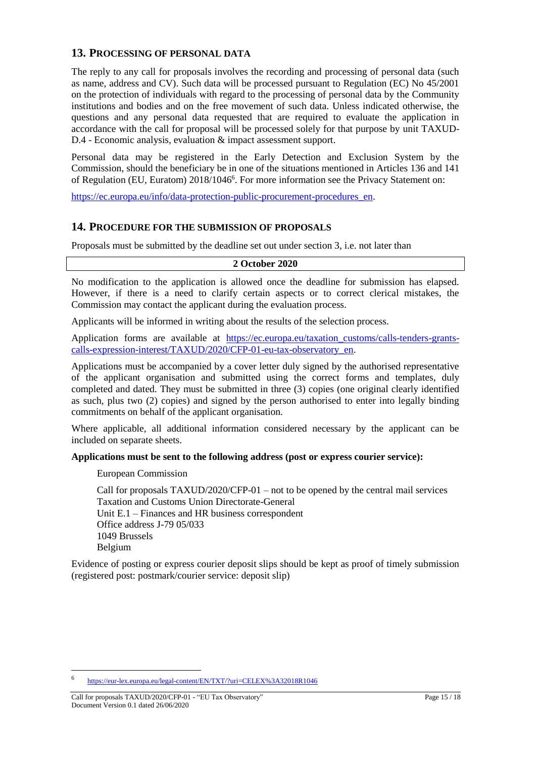## <span id="page-14-0"></span>**13. PROCESSING OF PERSONAL DATA**

The reply to any call for proposals involves the recording and processing of personal data (such as name, address and CV). Such data will be processed pursuant to Regulation (EC) No 45/2001 on the protection of individuals with regard to the processing of personal data by the Community institutions and bodies and on the free movement of such data. Unless indicated otherwise, the questions and any personal data requested that are required to evaluate the application in accordance with the call for proposal will be processed solely for that purpose by unit TAXUD-D.4 - Economic analysis, evaluation & impact assessment support.

Personal data may be registered in the Early Detection and Exclusion System by the Commission, should the beneficiary be in one of the situations mentioned in Articles 136 and 141 of Regulation (EU, Euratom) 2018/1046<sup>6</sup>. For more information see the Privacy Statement on:

[https://ec.europa.eu/info/data-protection-public-procurement-procedures\\_en.](https://ec.europa.eu/info/data-protection-public-procurement-procedures_en)

#### <span id="page-14-1"></span>**14. PROCEDURE FOR THE SUBMISSION OF PROPOSALS**

Proposals must be submitted by the deadline set out under section 3, i.e. not later than

#### **2 October 2020**

No modification to the application is allowed once the deadline for submission has elapsed. However, if there is a need to clarify certain aspects or to correct clerical mistakes, the Commission may contact the applicant during the evaluation process.

Applicants will be informed in writing about the results of the selection process.

Application forms are available at [https://ec.europa.eu/taxation\\_customs/calls-tenders-grants](https://ec.europa.eu/taxation_customs/calls-tenders-grants-calls-expression-interest/TAXUD/2020/CFP-01-eu-tax-observatory_en)[calls-expression-interest/TAXUD/2020/CFP-01-eu-tax-observatory\\_en.](https://ec.europa.eu/taxation_customs/calls-tenders-grants-calls-expression-interest/TAXUD/2020/CFP-01-eu-tax-observatory_en)

Applications must be accompanied by a cover letter duly signed by the authorised representative of the applicant organisation and submitted using the correct forms and templates, duly completed and dated. They must be submitted in three (3) copies (one original clearly identified as such, plus two (2) copies) and signed by the person authorised to enter into legally binding commitments on behalf of the applicant organisation.

Where applicable, all additional information considered necessary by the applicant can be included on separate sheets.

#### **Applications must be sent to the following address (post or express courier service):**

European Commission

Call for proposals TAXUD/2020/CFP-01 – not to be opened by the central mail services Taxation and Customs Union Directorate-General Unit E.1 – Finances and HR business correspondent Office address J-79 05/033 1049 Brussels Belgium

Evidence of posting or express courier deposit slips should be kept as proof of timely submission (registered post: postmark/courier service: deposit slip)

l

<sup>6</sup> <https://eur-lex.europa.eu/legal-content/EN/TXT/?uri=CELEX%3A32018R1046>

Call for proposals TAXUD/2020/CFP-01 - "EU Tax Observatory" Page 15 / 18 Document Version 0.1 dated 26/06/2020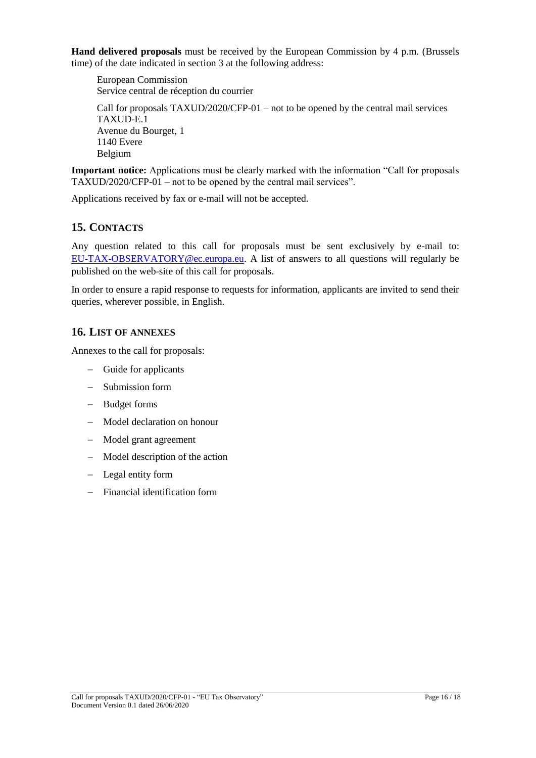**Hand delivered proposals** must be received by the European Commission by 4 p.m. (Brussels time) of the date indicated in section 3 at the following address:

European Commission Service central de réception du courrier

Call for proposals TAXUD/2020/CFP-01 – not to be opened by the central mail services TAXUD-E.1 Avenue du Bourget, 1 1140 Evere Belgium

**Important notice:** Applications must be clearly marked with the information "Call for proposals TAXUD/2020/CFP-01 – not to be opened by the central mail services".

Applications received by fax or e-mail will not be accepted.

# <span id="page-15-0"></span>**15. CONTACTS**

Any question related to this call for proposals must be sent exclusively by e-mail to: [EU-TAX-OBSERVATORY@ec.europa.eu.](mailto:EU-TAX-OBSERVATORY@ec.europa.eu) A list of answers to all questions will regularly be published on the web-site of this call for proposals.

In order to ensure a rapid response to requests for information, applicants are invited to send their queries, wherever possible, in English.

# <span id="page-15-1"></span>**16. LIST OF ANNEXES**

Annexes to the call for proposals:

- Guide for applicants
- Submission form
- Budget forms
- Model declaration on honour
- Model grant agreement
- Model description of the action
- Legal entity form
- Financial identification form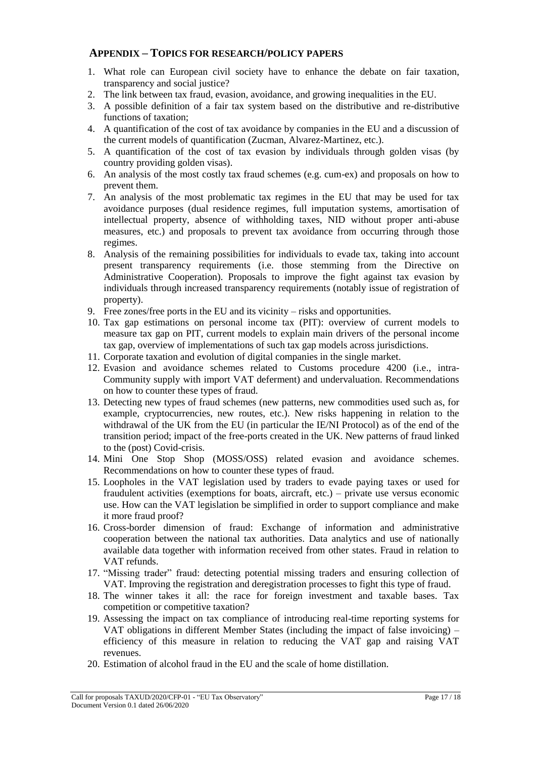### <span id="page-16-0"></span>**APPENDIX – TOPICS FOR RESEARCH/POLICY PAPERS**

- 1. What role can European civil society have to enhance the debate on fair taxation, transparency and social justice?
- 2. The link between tax fraud, evasion, avoidance, and growing inequalities in the EU.
- 3. A possible definition of a fair tax system based on the distributive and re-distributive functions of taxation;
- 4. A quantification of the cost of tax avoidance by companies in the EU and a discussion of the current models of quantification (Zucman, Alvarez-Martinez, etc.).
- 5. A quantification of the cost of tax evasion by individuals through golden visas (by country providing golden visas).
- 6. An analysis of the most costly tax fraud schemes (e.g. cum-ex) and proposals on how to prevent them.
- 7. An analysis of the most problematic tax regimes in the EU that may be used for tax avoidance purposes (dual residence regimes, full imputation systems, amortisation of intellectual property, absence of withholding taxes, NID without proper anti-abuse measures, etc.) and proposals to prevent tax avoidance from occurring through those regimes.
- 8. Analysis of the remaining possibilities for individuals to evade tax, taking into account present transparency requirements (i.e. those stemming from the Directive on Administrative Cooperation). Proposals to improve the fight against tax evasion by individuals through increased transparency requirements (notably issue of registration of property).
- 9. Free zones/free ports in the EU and its vicinity risks and opportunities.
- 10. Tax gap estimations on personal income tax (PIT): overview of current models to measure tax gap on PIT, current models to explain main drivers of the personal income tax gap, overview of implementations of such tax gap models across jurisdictions.
- 11. Corporate taxation and evolution of digital companies in the single market.
- 12. Evasion and avoidance schemes related to Customs procedure 4200 (i.e., intra-Community supply with import VAT deferment) and undervaluation. Recommendations on how to counter these types of fraud.
- 13. Detecting new types of fraud schemes (new patterns, new commodities used such as, for example, cryptocurrencies, new routes, etc.). New risks happening in relation to the withdrawal of the UK from the EU (in particular the IE/NI Protocol) as of the end of the transition period; impact of the free-ports created in the UK. New patterns of fraud linked to the (post) Covid-crisis.
- 14. Mini One Stop Shop (MOSS/OSS) related evasion and avoidance schemes. Recommendations on how to counter these types of fraud.
- 15. Loopholes in the VAT legislation used by traders to evade paying taxes or used for fraudulent activities (exemptions for boats, aircraft, etc.) – private use versus economic use. How can the VAT legislation be simplified in order to support compliance and make it more fraud proof?
- 16. Cross-border dimension of fraud: Exchange of information and administrative cooperation between the national tax authorities. Data analytics and use of nationally available data together with information received from other states. Fraud in relation to VAT refunds.
- 17. "Missing trader" fraud: detecting potential missing traders and ensuring collection of VAT. Improving the registration and deregistration processes to fight this type of fraud.
- 18. The winner takes it all: the race for foreign investment and taxable bases. Tax competition or competitive taxation?
- 19. Assessing the impact on tax compliance of introducing real-time reporting systems for VAT obligations in different Member States (including the impact of false invoicing) – efficiency of this measure in relation to reducing the VAT gap and raising VAT revenues.
- 20. Estimation of alcohol fraud in the EU and the scale of home distillation.